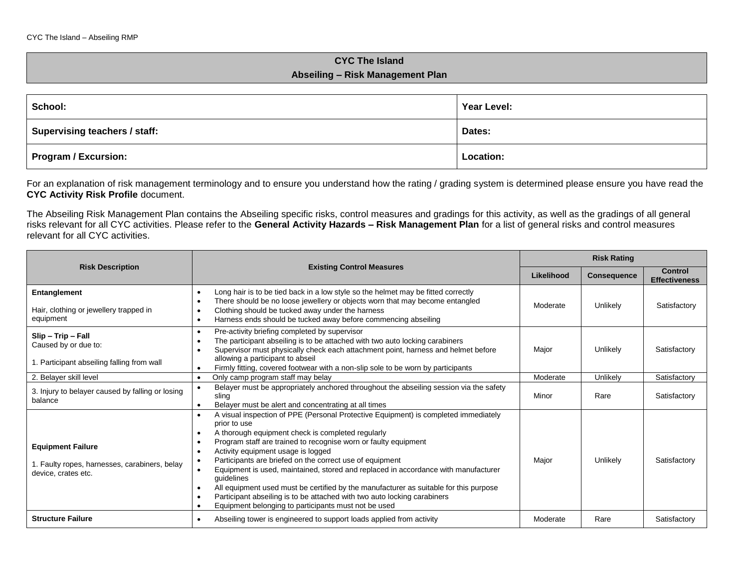## **CYC The Island Abseiling – Risk Management Plan**

| School:                       | Year Level: |
|-------------------------------|-------------|
| Supervising teachers / staff: | Dates:      |
| Program / Excursion:          | Location:   |

For an explanation of risk management terminology and to ensure you understand how the rating / grading system is determined please ensure you have read the **CYC Activity Risk Profile** document.

The Abseiling Risk Management Plan contains the Abseiling specific risks, control measures and gradings for this activity, as well as the gradings of all general risks relevant for all CYC activities. Please refer to the **General Activity Hazards – Risk Management Plan** for a list of general risks and control measures relevant for all CYC activities.

|                                                                                                  |                                                                                                                                                                                                                                                                                                                                                                                                                                                                                                                                                                                                                                                                | <b>Risk Rating</b> |                    |                                 |
|--------------------------------------------------------------------------------------------------|----------------------------------------------------------------------------------------------------------------------------------------------------------------------------------------------------------------------------------------------------------------------------------------------------------------------------------------------------------------------------------------------------------------------------------------------------------------------------------------------------------------------------------------------------------------------------------------------------------------------------------------------------------------|--------------------|--------------------|---------------------------------|
| <b>Risk Description</b>                                                                          | <b>Existing Control Measures</b>                                                                                                                                                                                                                                                                                                                                                                                                                                                                                                                                                                                                                               | Likelihood         | <b>Consequence</b> | Control<br><b>Effectiveness</b> |
| Entanglement<br>Hair, clothing or jewellery trapped in<br>equipment                              | Long hair is to be tied back in a low style so the helmet may be fitted correctly<br>$\bullet$<br>There should be no loose jewellery or objects worn that may become entangled<br>Clothing should be tucked away under the harness<br>Harness ends should be tucked away before commencing abseiling                                                                                                                                                                                                                                                                                                                                                           | Moderate           | Unlikely           | Satisfactory                    |
| $Slip - Trip - Fall$<br>Caused by or due to:<br>1. Participant abseiling falling from wall       | Pre-activity briefing completed by supervisor<br>$\bullet$<br>The participant abseiling is to be attached with two auto locking carabiners<br>Supervisor must physically check each attachment point, harness and helmet before<br>allowing a participant to abseil<br>Firmly fitting, covered footwear with a non-slip sole to be worn by participants                                                                                                                                                                                                                                                                                                        | Major              | Unlikely           | Satisfactory                    |
| 2. Belayer skill level                                                                           | Only camp program staff may belay<br>$\bullet$                                                                                                                                                                                                                                                                                                                                                                                                                                                                                                                                                                                                                 | Moderate           | Unlikelv           | Satisfactory                    |
| 3. Injury to belayer caused by falling or losing<br>balance                                      | Belayer must be appropriately anchored throughout the abseiling session via the safety<br>sling<br>Belayer must be alert and concentrating at all times                                                                                                                                                                                                                                                                                                                                                                                                                                                                                                        | Minor              | Rare               | Satisfactory                    |
| <b>Equipment Failure</b><br>1. Faulty ropes, harnesses, carabiners, belay<br>device, crates etc. | A visual inspection of PPE (Personal Protective Equipment) is completed immediately<br>prior to use<br>A thorough equipment check is completed regularly<br>Program staff are trained to recognise worn or faulty equipment<br>Activity equipment usage is logged<br>Participants are briefed on the correct use of equipment<br>Equipment is used, maintained, stored and replaced in accordance with manufacturer<br>guidelines<br>All equipment used must be certified by the manufacturer as suitable for this purpose<br>Participant abseiling is to be attached with two auto locking carabiners<br>Equipment belonging to participants must not be used | Major              | Unlikely           | Satisfactory                    |
| <b>Structure Failure</b>                                                                         | Abseiling tower is engineered to support loads applied from activity                                                                                                                                                                                                                                                                                                                                                                                                                                                                                                                                                                                           | Moderate           | Rare               | Satisfactory                    |